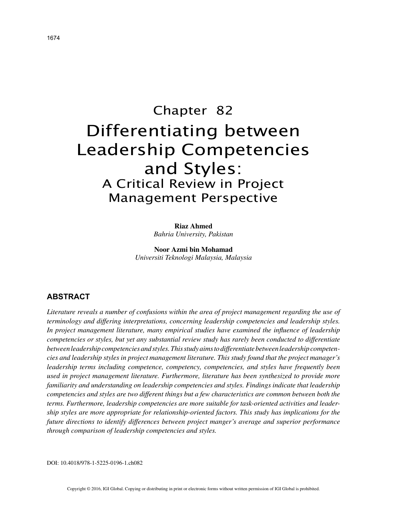# Chapter 82 Differentiating between Leadership Competencies and Styles: A Critical Review in Project Management Perspective

### **Riaz Ahmed**

*Bahria University, Pakistan*

**Noor Azmi bin Mohamad** *Universiti Teknologi Malaysia, Malaysia*

# **ABSTRACT**

*Literature reveals a number of confusions within the area of project management regarding the use of terminology and differing interpretations, concerning leadership competencies and leadership styles. In project management literature, many empirical studies have examined the influence of leadership competencies or styles, but yet any substantial review study has rarely been conducted to differentiate between leadership competencies and styles. This study aims to differentiate between leadership competencies and leadership styles in project management literature. This study found that the project manager's leadership terms including competence, competency, competencies, and styles have frequently been used in project management literature. Furthermore, literature has been synthesized to provide more familiarity and understanding on leadership competencies and styles. Findings indicate that leadership competencies and styles are two different things but a few characteristics are common between both the terms. Furthermore, leadership competencies are more suitable for task-oriented activities and leadership styles are more appropriate for relationship-oriented factors. This study has implications for the future directions to identify differences between project manger's average and superior performance through comparison of leadership competencies and styles.*

DOI: 10.4018/978-1-5225-0196-1.ch082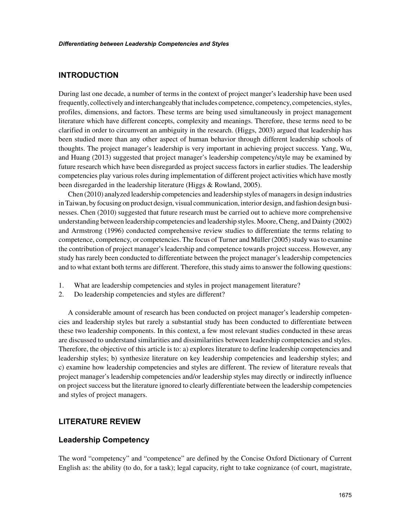## **INTRODUCTION**

During last one decade, a number of terms in the context of project manger's leadership have been used frequently, collectively and interchangeably that includes competence, competency, competencies, styles, profiles, dimensions, and factors. These terms are being used simultaneously in project management literature which have different concepts, complexity and meanings. Therefore, these terms need to be clarified in order to circumvent an ambiguity in the research. (Higgs, 2003) argued that leadership has been studied more than any other aspect of human behavior through different leadership schools of thoughts. The project manager's leadership is very important in achieving project success. Yang, Wu, and Huang (2013) suggested that project manager's leadership competency/style may be examined by future research which have been disregarded as project success factors in earlier studies. The leadership competencies play various roles during implementation of different project activities which have mostly been disregarded in the leadership literature (Higgs & Rowland, 2005).

Chen (2010) analyzed leadership competencies and leadership styles of managers in design industries in Taiwan, by focusing on product design, visual communication, interior design, and fashion design businesses. Chen (2010) suggested that future research must be carried out to achieve more comprehensive understanding between leadership competencies and leadership styles. Moore, Cheng, and Dainty (2002) and Armstrong (1996) conducted comprehensive review studies to differentiate the terms relating to competence, competency, or competencies. The focus of Turner and Müller (2005) study was to examine the contribution of project manager's leadership and competence towards project success. However, any study has rarely been conducted to differentiate between the project manager's leadership competencies and to what extant both terms are different. Therefore, this study aims to answer the following questions:

- 1. What are leadership competencies and styles in project management literature?
- 2. Do leadership competencies and styles are different?

A considerable amount of research has been conducted on project manager's leadership competencies and leadership styles but rarely a substantial study has been conducted to differentiate between these two leadership components. In this context, a few most relevant studies conducted in these areas are discussed to understand similarities and dissimilarities between leadership competencies and styles. Therefore, the objective of this article is to: a) explores literature to define leadership competencies and leadership styles; b) synthesize literature on key leadership competencies and leadership styles; and c) examine how leadership competencies and styles are different. The review of literature reveals that project manager's leadership competencies and/or leadership styles may directly or indirectly influence on project success but the literature ignored to clearly differentiate between the leadership competencies and styles of project managers.

## **LITERATURE REVIEW**

## **Leadership Competency**

The word "competency" and "competence" are defined by the Concise Oxford Dictionary of Current English as: the ability (to do, for a task); legal capacity, right to take cognizance (of court, magistrate,